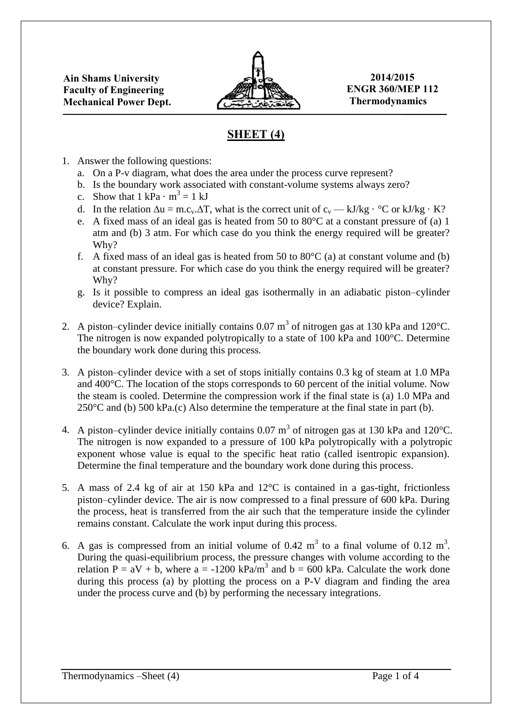

## **SHEET (4)**

- 1. Answer the following questions:
	- a. On a P-v diagram, what does the area under the process curve represent?
	- b. Is the boundary work associated with constant-volume systems always zero?
	- c. Show that  $1 \text{ kPa} \cdot \text{m}^3 = 1 \text{ kJ}$
	- d. In the relation  $\Delta u = m.c_v \Delta T$ , what is the correct unit of  $c_v \rightarrow kJ/kg \cdot {}^{\circ}C$  or kJ/kg  $\cdot K$ ?
	- e. A fixed mass of an ideal gas is heated from 50 to 80°C at a constant pressure of (a) 1 atm and (b) 3 atm. For which case do you think the energy required will be greater? Why?
	- f. A fixed mass of an ideal gas is heated from 50 to  $80^{\circ}$ C (a) at constant volume and (b) at constant pressure. For which case do you think the energy required will be greater? Why?
	- g. Is it possible to compress an ideal gas isothermally in an adiabatic piston–cylinder device? Explain.
- 2. A piston–cylinder device initially contains 0.07 m<sup>3</sup> of nitrogen gas at 130 kPa and 120°C. The nitrogen is now expanded polytropically to a state of 100 kPa and 100°C. Determine the boundary work done during this process.
- 3. A piston–cylinder device with a set of stops initially contains 0.3 kg of steam at 1.0 MPa and 400°C. The location of the stops corresponds to 60 percent of the initial volume. Now the steam is cooled. Determine the compression work if the final state is (a) 1.0 MPa and  $250^{\circ}$ C and (b)  $500 \text{ kPa}$ .(c) Also determine the temperature at the final state in part (b).
- 4. A piston–cylinder device initially contains 0.07 m<sup>3</sup> of nitrogen gas at 130 kPa and 120°C. The nitrogen is now expanded to a pressure of 100 kPa polytropically with a polytropic exponent whose value is equal to the specific heat ratio (called isentropic expansion). Determine the final temperature and the boundary work done during this process.
- 5. A mass of 2.4 kg of air at 150 kPa and 12°C is contained in a gas-tight, frictionless piston–cylinder device. The air is now compressed to a final pressure of 600 kPa. During the process, heat is transferred from the air such that the temperature inside the cylinder remains constant. Calculate the work input during this process.
- 6. A gas is compressed from an initial volume of 0.42  $m<sup>3</sup>$  to a final volume of 0.12  $m<sup>3</sup>$ . During the quasi-equilibrium process, the pressure changes with volume according to the relation  $P = aV + b$ , where  $a = -1200 \text{ kPa/m}^3$  and  $b = 600 \text{ kPa}$ . Calculate the work done during this process (a) by plotting the process on a P-V diagram and finding the area under the process curve and (b) by performing the necessary integrations.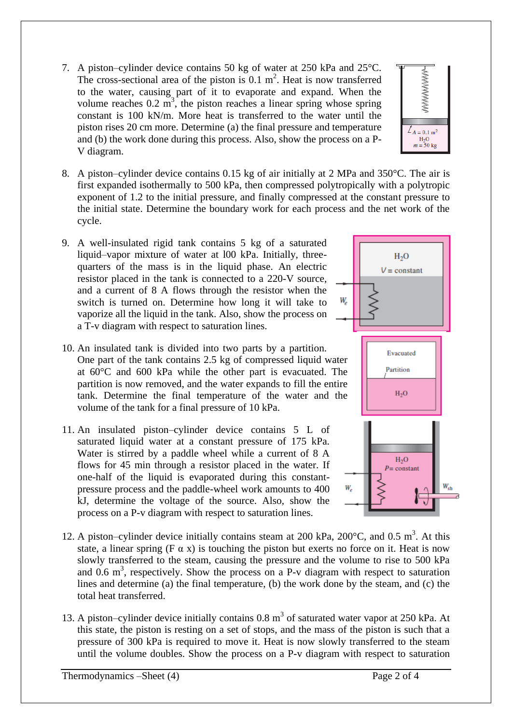- 7. A piston–cylinder device contains 50 kg of water at 250 kPa and 25°C. The cross-sectional area of the piston is  $0.1 \text{ m}^2$ . Heat is now transferred to the water, causing part of it to evaporate and expand. When the volume reaches  $0.2 \text{ m}^3$ , the piston reaches a linear spring whose spring constant is 100 kN/m. More heat is transferred to the water until the piston rises 20 cm more. Determine (a) the final pressure and temperature and (b) the work done during this process. Also, show the process on a P-V diagram.
- 8. A piston–cylinder device contains 0.15 kg of air initially at 2 MPa and 350°C. The air is first expanded isothermally to 500 kPa, then compressed polytropically with a polytropic exponent of 1.2 to the initial pressure, and finally compressed at the constant pressure to the initial state. Determine the boundary work for each process and the net work of the cycle.
- 9. A well-insulated rigid tank contains 5 kg of a saturated liquid–vapor mixture of water at l00 kPa. Initially, threequarters of the mass is in the liquid phase. An electric resistor placed in the tank is connected to a 220-V source, and a current of 8 A flows through the resistor when the switch is turned on. Determine how long it will take to vaporize all the liquid in the tank. Also, show the process on a T-v diagram with respect to saturation lines.
- 10. An insulated tank is divided into two parts by a partition. One part of the tank contains 2.5 kg of compressed liquid water at 60°C and 600 kPa while the other part is evacuated. The partition is now removed, and the water expands to fill the entire tank. Determine the final temperature of the water and the volume of the tank for a final pressure of 10 kPa.
- 11. An insulated piston–cylinder device contains 5 L of saturated liquid water at a constant pressure of 175 kPa. Water is stirred by a paddle wheel while a current of 8 A flows for 45 min through a resistor placed in the water. If one-half of the liquid is evaporated during this constantpressure process and the paddle-wheel work amounts to 400 kJ, determine the voltage of the source. Also, show the process on a P-v diagram with respect to saturation lines.



**WWWWWW** 

 $\angle A = 0.1$  m<sup>2</sup>  $H<sub>2</sub>O$  $m = 50$  kg



- 12. A piston–cylinder device initially contains steam at 200 kPa, 200 $^{\circ}$ C, and 0.5 m<sup>3</sup>. At this state, a linear spring (F  $\alpha$  x) is touching the piston but exerts no force on it. Heat is now slowly transferred to the steam, causing the pressure and the volume to rise to 500 kPa and  $0.6 \text{ m}^3$ , respectively. Show the process on a P-v diagram with respect to saturation lines and determine (a) the final temperature, (b) the work done by the steam, and (c) the total heat transferred.
- 13. A piston–cylinder device initially contains  $0.8 \text{ m}^3$  of saturated water vapor at 250 kPa. At this state, the piston is resting on a set of stops, and the mass of the piston is such that a pressure of 300 kPa is required to move it. Heat is now slowly transferred to the steam until the volume doubles. Show the process on a P-v diagram with respect to saturation

Thermodynamics –Sheet (4) Page 2 of 4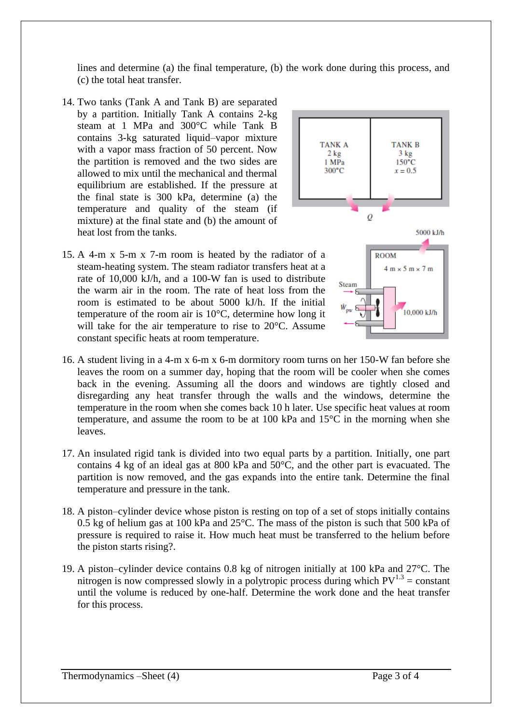lines and determine (a) the final temperature, (b) the work done during this process, and (c) the total heat transfer.

- 14. Two tanks (Tank A and Tank B) are separated by a partition. Initially Tank A contains 2-kg steam at 1 MPa and 300°C while Tank B contains 3-kg saturated liquid–vapor mixture with a vapor mass fraction of 50 percent. Now the partition is removed and the two sides are allowed to mix until the mechanical and thermal equilibrium are established. If the pressure at the final state is 300 kPa, determine (a) the temperature and quality of the steam (if mixture) at the final state and (b) the amount of heat lost from the tanks.
- 15. A 4-m x 5-m x 7-m room is heated by the radiator of a steam-heating system. The steam radiator transfers heat at a rate of 10,000 kJ/h, and a 100-W fan is used to distribute the warm air in the room. The rate of heat loss from the room is estimated to be about 5000 kJ/h. If the initial temperature of the room air is 10°C, determine how long it will take for the air temperature to rise to 20 °C. Assume constant specific heats at room temperature.



- 16. A student living in a 4-m x 6-m x 6-m dormitory room turns on her 150-W fan before she leaves the room on a summer day, hoping that the room will be cooler when she comes back in the evening. Assuming all the doors and windows are tightly closed and disregarding any heat transfer through the walls and the windows, determine the temperature in the room when she comes back 10 h later. Use specific heat values at room temperature, and assume the room to be at 100 kPa and 15°C in the morning when she leaves.
- 17. An insulated rigid tank is divided into two equal parts by a partition. Initially, one part contains 4 kg of an ideal gas at 800 kPa and 50°C, and the other part is evacuated. The partition is now removed, and the gas expands into the entire tank. Determine the final temperature and pressure in the tank.
- 18. A piston–cylinder device whose piston is resting on top of a set of stops initially contains 0.5 kg of helium gas at 100 kPa and 25°C. The mass of the piston is such that 500 kPa of pressure is required to raise it. How much heat must be transferred to the helium before the piston starts rising?.
- 19. A piston–cylinder device contains 0.8 kg of nitrogen initially at 100 kPa and 27°C. The nitrogen is now compressed slowly in a polytropic process during which  $PV^{1.3}$  = constant until the volume is reduced by one-half. Determine the work done and the heat transfer for this process.